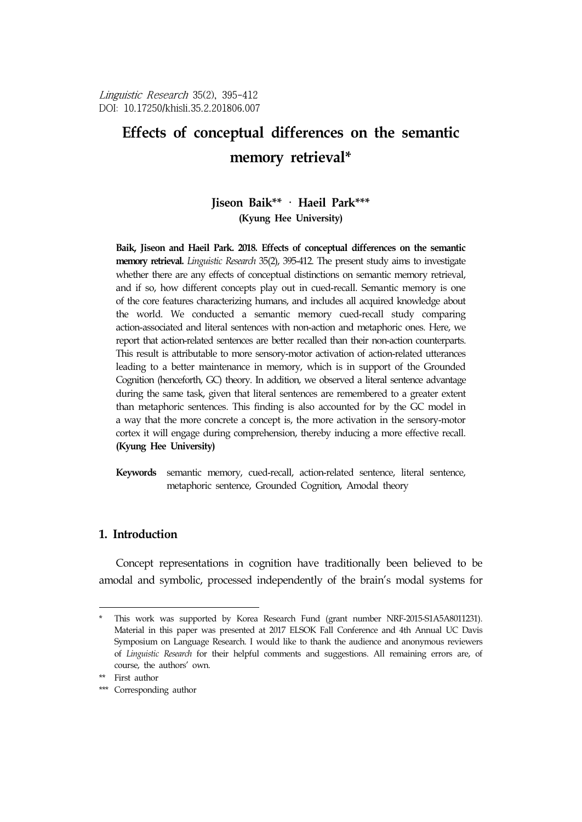Linguistic Research 35(2), 395-412 DOI: 10.17250/khisli.35.2.201806.007

# **Effects of conceptual differences on the semantic**  memory retrieval\*

## **Jiseon Baik\*\***<sup>2</sup> · **Haeil Park\*\*\***<sup>3</sup> **(Kyung Hee University)**

**Baik, Jiseon and Haeil Park. 2018. Effects of conceptual differences on the semantic memory retrieval.** *Linguistic Research* 35(2), 395-412. The present study aims to investigate whether there are any effects of conceptual distinctions on semantic memory retrieval, and if so, how different concepts play out in cued-recall. Semantic memory is one of the core features characterizing humans, and includes all acquired knowledge about the world. We conducted a semantic memory cued-recall study comparing action-associated and literal sentences with non-action and metaphoric ones. Here, we report that action-related sentences are better recalled than their non-action counterparts. This result is attributable to more sensory-motor activation of action-related utterances leading to a better maintenance in memory, which is in support of the Grounded Cognition (henceforth, GC) theory. In addition, we observed a literal sentence advantage during the same task, given that literal sentences are remembered to a greater extent than metaphoric sentences. This finding is also accounted for by the GC model in a way that the more concrete a concept is, the more activation in the sensory-motor cortex it will engage during comprehension, thereby inducing a more effective recall. **(Kyung Hee University)**

**Keywords** semantic memory, cued-recall, action-related sentence, literal sentence, metaphoric sentence, Grounded Cognition, Amodal theory

## **1. Introduction**

Concept representations in cognition have traditionally been believed to be amodal and symbolic, processed independently of the brain's modal systems for

This work was supported by Korea Research Fund (grant number NRF-2015-S1A5A8011231). Material in this paper was presented at 2017 ELSOK Fall Conference and 4th Annual UC Davis Symposium on Language Research. I would like to thank the audience and anonymous reviewers of *Linguistic Research* for their helpful comments and suggestions. All remaining errors are, of course, the authors' own.

<sup>\*\*</sup> First author

<sup>\*\*\*</sup> Corresponding author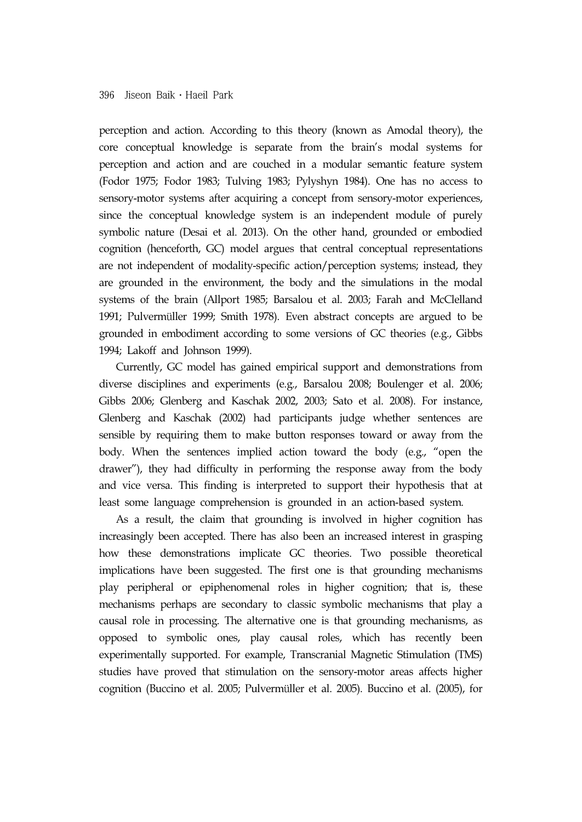perception and action. According to this theory (known as Amodal theory), the core conceptual knowledge is separate from the brain's modal systems for perception and action and are couched in a modular semantic feature system (Fodor 1975; Fodor 1983; Tulving 1983; Pylyshyn 1984). One has no access to sensory-motor systems after acquiring a concept from sensory-motor experiences, since the conceptual knowledge system is an independent module of purely symbolic nature (Desai et al. 2013). On the other hand, grounded or embodied cognition (henceforth, GC) model argues that central conceptual representations are not independent of modality-specific action/perception systems; instead, they are grounded in the environment, the body and the simulations in the modal systems of the brain (Allport 1985; Barsalou et al. 2003; Farah and McClelland 1991; Pulvermüller 1999; Smith 1978). Even abstract concepts are argued to be grounded in embodiment according to some versions of GC theories (e.g., Gibbs 1994; Lakoff and Johnson 1999).

Currently, GC model has gained empirical support and demonstrations from diverse disciplines and experiments (e.g., Barsalou 2008; Boulenger et al. 2006; Gibbs 2006; Glenberg and Kaschak 2002, 2003; Sato et al. 2008). For instance, Glenberg and Kaschak (2002) had participants judge whether sentences are sensible by requiring them to make button responses toward or away from the body. When the sentences implied action toward the body (e.g., "open the drawer"), they had difficulty in performing the response away from the body and vice versa. This finding is interpreted to support their hypothesis that at least some language comprehension is grounded in an action-based system.

As a result, the claim that grounding is involved in higher cognition has increasingly been accepted. There has also been an increased interest in grasping how these demonstrations implicate GC theories. Two possible theoretical implications have been suggested. The first one is that grounding mechanisms play peripheral or epiphenomenal roles in higher cognition; that is, these mechanisms perhaps are secondary to classic symbolic mechanisms that play a causal role in processing. The alternative one is that grounding mechanisms, as opposed to symbolic ones, play causal roles, which has recently been experimentally supported. For example, Transcranial Magnetic Stimulation (TMS) studies have proved that stimulation on the sensory-motor areas affects higher cognition (Buccino et al. 2005; Pulvermüller et al. 2005). Buccino et al. (2005), for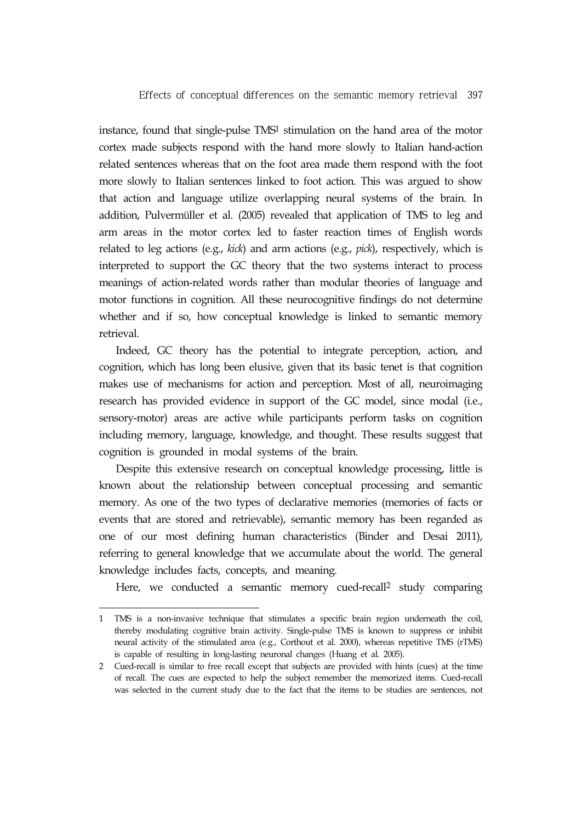instance, found that single-pulse TMS1 stimulation on the hand area of the motor cortex made subjects respond with the hand more slowly to Italian hand-action related sentences whereas that on the foot area made them respond with the foot more slowly to Italian sentences linked to foot action. This was argued to show that action and language utilize overlapping neural systems of the brain. In addition, Pulvermüller et al. (2005) revealed that application of TMS to leg and arm areas in the motor cortex led to faster reaction times of English words related to leg actions (e.g., *kick*) and arm actions (e.g., *pick*), respectively, which is interpreted to support the GC theory that the two systems interact to process meanings of action-related words rather than modular theories of language and motor functions in cognition. All these neurocognitive findings do not determine whether and if so, how conceptual knowledge is linked to semantic memory retrieval.

Indeed, GC theory has the potential to integrate perception, action, and cognition, which has long been elusive, given that its basic tenet is that cognition makes use of mechanisms for action and perception. Most of all, neuroimaging research has provided evidence in support of the GC model, since modal (i.e., sensory-motor) areas are active while participants perform tasks on cognition including memory, language, knowledge, and thought. These results suggest that cognition is grounded in modal systems of the brain.

Despite this extensive research on conceptual knowledge processing, little is known about the relationship between conceptual processing and semantic memory. As one of the two types of declarative memories (memories of facts or events that are stored and retrievable), semantic memory has been regarded as one of our most defining human characteristics (Binder and Desai 2011), referring to general knowledge that we accumulate about the world. The general knowledge includes facts, concepts, and meaning.

Here, we conducted a semantic memory cued-recall<sup>2</sup> study comparing

<sup>1</sup> TMS is a non-invasive technique that stimulates a specific brain region underneath the coil, thereby modulating cognitive brain activity. Single-pulse TMS is known to suppress or inhibit neural activity of the stimulated area (e.g., Corthout et al. 2000), whereas repetitive TMS (rTMS) is capable of resulting in long-lasting neuronal changes (Huang et al. 2005).

<sup>2</sup> Cued-recall is similar to free recall except that subjects are provided with hints (cues) at the time of recall. The cues are expected to help the subject remember the memorized items. Cued-recall was selected in the current study due to the fact that the items to be studies are sentences, not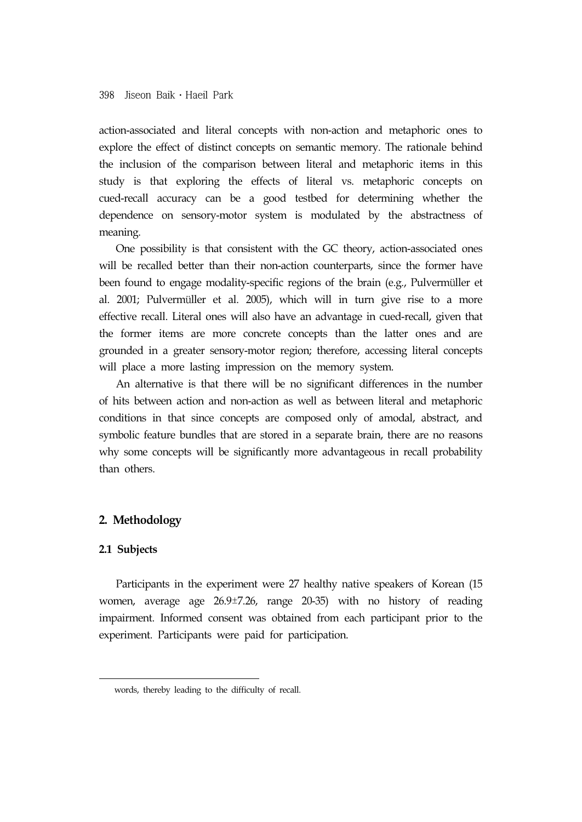action-associated and literal concepts with non-action and metaphoric ones to explore the effect of distinct concepts on semantic memory. The rationale behind the inclusion of the comparison between literal and metaphoric items in this study is that exploring the effects of literal vs. metaphoric concepts on cued-recall accuracy can be a good testbed for determining whether the dependence on sensory-motor system is modulated by the abstractness of meaning.

One possibility is that consistent with the GC theory, action-associated ones will be recalled better than their non-action counterparts, since the former have been found to engage modality-specific regions of the brain (e.g., Pulvermüller et al. 2001; Pulvermüller et al. 2005), which will in turn give rise to a more effective recall. Literal ones will also have an advantage in cued-recall, given that the former items are more concrete concepts than the latter ones and are grounded in a greater sensory-motor region; therefore, accessing literal concepts will place a more lasting impression on the memory system.

An alternative is that there will be no significant differences in the number of hits between action and non-action as well as between literal and metaphoric conditions in that since concepts are composed only of amodal, abstract, and symbolic feature bundles that are stored in a separate brain, there are no reasons why some concepts will be significantly more advantageous in recall probability than others.

## **2. Methodology**

### **2.1 Subjects**

Participants in the experiment were 27 healthy native speakers of Korean (15 women, average age 26.9±7.26, range 20-35) with no history of reading impairment. Informed consent was obtained from each participant prior to the experiment. Participants were paid for participation.

words, thereby leading to the difficulty of recall.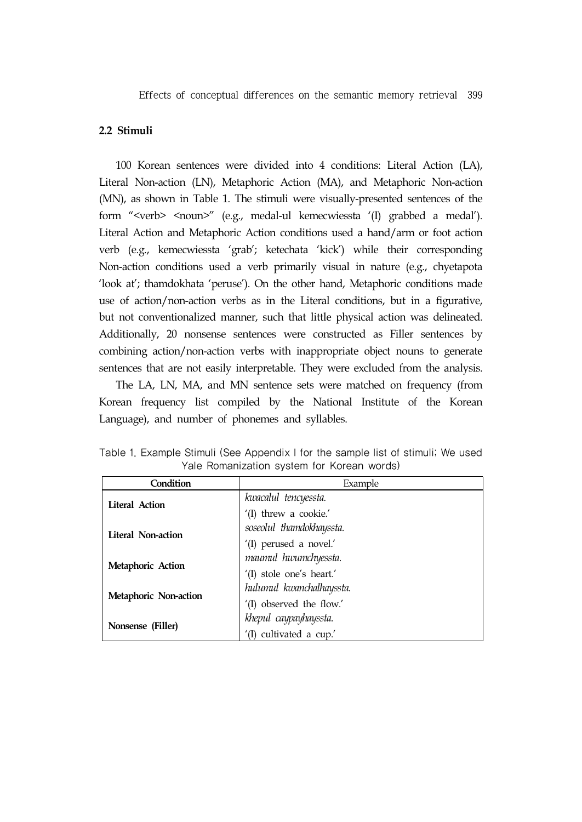## **2.2 Stimuli**

100 Korean sentences were divided into 4 conditions: Literal Action (LA), Literal Non-action (LN), Metaphoric Action (MA), and Metaphoric Non-action (MN), as shown in Table 1. The stimuli were visually-presented sentences of the form "<verb> <noun>" (e.g., medal-ul kemecwiessta '(I) grabbed a medal'). Literal Action and Metaphoric Action conditions used a hand/arm or foot action verb (e.g., kemecwiessta 'grab'; ketechata 'kick') while their corresponding Non-action conditions used a verb primarily visual in nature (e.g., chyetapota 'look at'; thamdokhata 'peruse'). On the other hand, Metaphoric conditions made use of action/non-action verbs as in the Literal conditions, but in a figurative, but not conventionalized manner, such that little physical action was delineated. Additionally, 20 nonsense sentences were constructed as Filler sentences by combining action/non-action verbs with inappropriate object nouns to generate sentences that are not easily interpretable. They were excluded from the analysis.

The LA, LN, MA, and MN sentence sets were matched on frequency (from Korean frequency list compiled by the National Institute of the Korean Language), and number of phonemes and syllables.

| Condition                 | Example                  |
|---------------------------|--------------------------|
| <b>Literal Action</b>     | kwacalul tencyessta.     |
|                           | '(I) threw a cookie.'    |
| <b>Literal Non-action</b> | soseolul thamdokhayssta. |
|                           | '(I) perused a novel.'   |
| Metaphoric Action         | maumul hwumchyessta.     |
|                           | '(I) stole one's heart.' |
| Metaphoric Non-action     | hulumul kwanchalhayssta. |
|                           | '(I) observed the flow.' |
| Nonsense (Filler)         | khepul caypayhayssta.    |
|                           | '(I) cultivated a cup.'  |

Table 1. Example Stimuli (See Appendix I for the sample list of stimuli; We used Yale Romanization system for Korean words)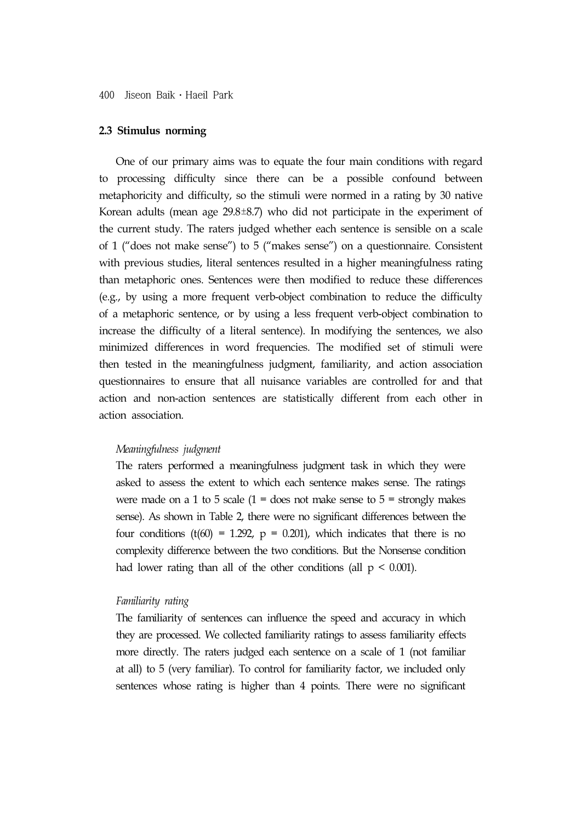#### **2.3 Stimulus norming**

One of our primary aims was to equate the four main conditions with regard to processing difficulty since there can be a possible confound between metaphoricity and difficulty, so the stimuli were normed in a rating by 30 native Korean adults (mean age 29.8±8.7) who did not participate in the experiment of the current study. The raters judged whether each sentence is sensible on a scale of 1 ("does not make sense") to 5 ("makes sense") on a questionnaire. Consistent with previous studies, literal sentences resulted in a higher meaningfulness rating than metaphoric ones. Sentences were then modified to reduce these differences (e.g., by using a more frequent verb-object combination to reduce the difficulty of a metaphoric sentence, or by using a less frequent verb-object combination to increase the difficulty of a literal sentence). In modifying the sentences, we also minimized differences in word frequencies. The modified set of stimuli were then tested in the meaningfulness judgment, familiarity, and action association questionnaires to ensure that all nuisance variables are controlled for and that action and non-action sentences are statistically different from each other in action association.

#### *Meaningfulness judgment*

The raters performed a meaningfulness judgment task in which they were asked to assess the extent to which each sentence makes sense. The ratings were made on a 1 to 5 scale  $(1 =$  does not make sense to  $5 =$  strongly makes sense). As shown in Table 2, there were no significant differences between the four conditions (t(60) = 1.292,  $p = 0.201$ ), which indicates that there is no complexity difference between the two conditions. But the Nonsense condition had lower rating than all of the other conditions (all  $p < 0.001$ ).

#### *Familiarity rating*

The familiarity of sentences can influence the speed and accuracy in which they are processed. We collected familiarity ratings to assess familiarity effects more directly. The raters judged each sentence on a scale of 1 (not familiar at all) to 5 (very familiar). To control for familiarity factor, we included only sentences whose rating is higher than 4 points. There were no significant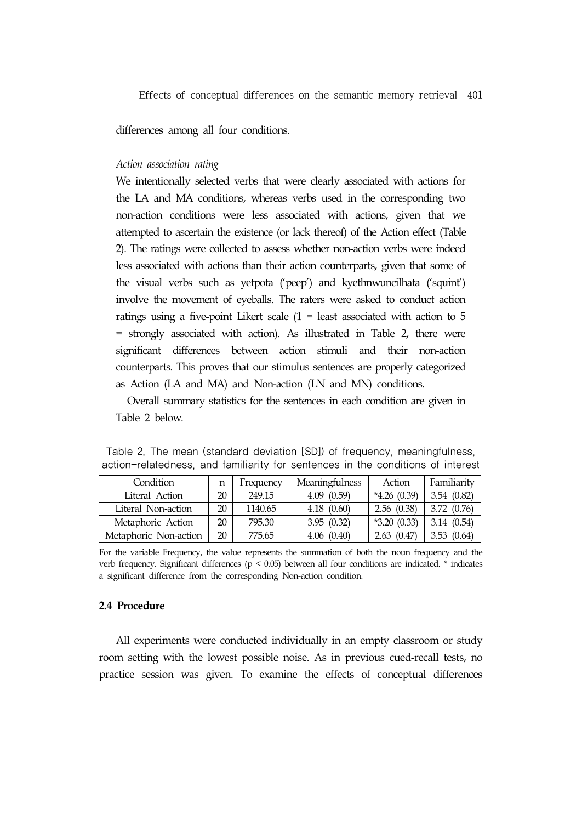differences among all four conditions.

#### *Action association rating*

We intentionally selected verbs that were clearly associated with actions for the LA and MA conditions, whereas verbs used in the corresponding two non-action conditions were less associated with actions, given that we attempted to ascertain the existence (or lack thereof) of the Action effect (Table 2). The ratings were collected to assess whether non-action verbs were indeed less associated with actions than their action counterparts, given that some of the visual verbs such as yetpota ('peep') and kyethnwuncilhata ('squint') involve the movement of eyeballs. The raters were asked to conduct action ratings using a five-point Likert scale  $(1 =$  least associated with action to 5 = strongly associated with action). As illustrated in Table 2, there were significant differences between action stimuli and their non-action counterparts. This proves that our stimulus sentences are properly categorized as Action (LA and MA) and Non-action (LN and MN) conditions.

Overall summary statistics for the sentences in each condition are given in Table 2 below.

| Condition             | n  | Frequency | Meaningfulness | Action        | Familiarity |
|-----------------------|----|-----------|----------------|---------------|-------------|
| Literal Action        | 20 | 249.15    | 4.09(0.59)     | $*4.26(0.39)$ | 3.54(0.82)  |
|                       |    |           |                |               |             |
| Literal Non-action    | 20 | 1140.65   | 4.18(0.60)     | 2.56(0.38)    | 3.72(0.76)  |
| Metaphoric Action     | 20 | 795.30    | 3.95(0.32)     | $*3.20(0.33)$ | 3.14(0.54)  |
| Metaphoric Non-action | 20 | 775.65    | 4.06(0.40)     | 2.63(0.47)    | 3.53(0.64)  |

Table 2. The mean (standard deviation [SD]) of frequency, meaningfulness, action-relatedness, and familiarity for sentences in the conditions of interest

For the variable Frequency, the value represents the summation of both the noun frequency and the verb frequency. Significant differences ( $p < 0.05$ ) between all four conditions are indicated.  $*$  indicates a significant difference from the corresponding Non-action condition.

### **2.4 Procedure**

All experiments were conducted individually in an empty classroom or study room setting with the lowest possible noise. As in previous cued-recall tests, no practice session was given. To examine the effects of conceptual differences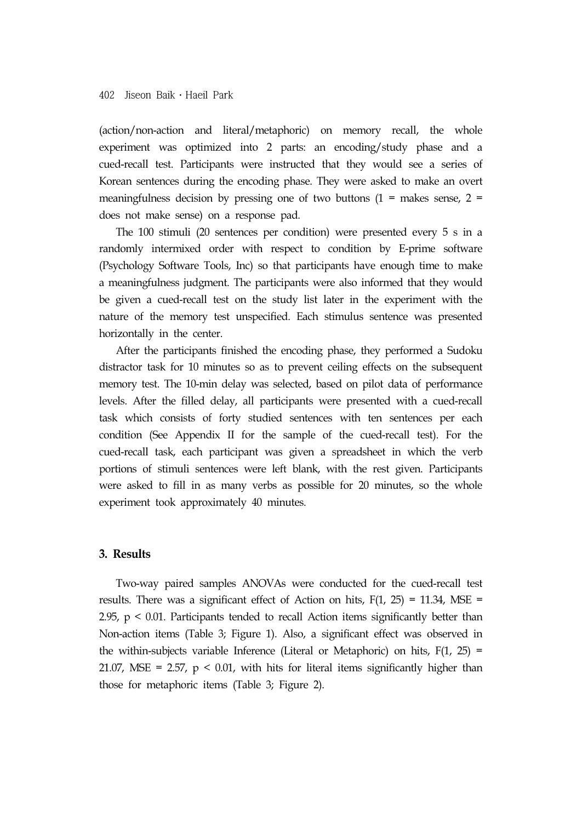(action/non-action and literal/metaphoric) on memory recall, the whole experiment was optimized into 2 parts: an encoding/study phase and a cued-recall test. Participants were instructed that they would see a series of Korean sentences during the encoding phase. They were asked to make an overt meaningfulness decision by pressing one of two buttons  $(1 =$  makes sense,  $2 =$ does not make sense) on a response pad.

The 100 stimuli (20 sentences per condition) were presented every 5 s in a randomly intermixed order with respect to condition by E-prime software (Psychology Software Tools, Inc) so that participants have enough time to make a meaningfulness judgment. The participants were also informed that they would be given a cued-recall test on the study list later in the experiment with the nature of the memory test unspecified. Each stimulus sentence was presented horizontally in the center.

After the participants finished the encoding phase, they performed a Sudoku distractor task for 10 minutes so as to prevent ceiling effects on the subsequent memory test. The 10-min delay was selected, based on pilot data of performance levels. After the filled delay, all participants were presented with a cued-recall task which consists of forty studied sentences with ten sentences per each condition (See Appendix II for the sample of the cued-recall test). For the cued-recall task, each participant was given a spreadsheet in which the verb portions of stimuli sentences were left blank, with the rest given. Participants were asked to fill in as many verbs as possible for 20 minutes, so the whole experiment took approximately 40 minutes.

## **3. Results**

Two-way paired samples ANOVAs were conducted for the cued-recall test results. There was a significant effect of Action on hits,  $F(1, 25) = 11.34$ , MSE = 2.95, p < 0.01. Participants tended to recall Action items significantly better than Non-action items (Table 3; Figure 1). Also, a significant effect was observed in the within-subjects variable Inference (Literal or Metaphoric) on hits,  $F(1, 25) =$ 21.07, MSE = 2.57,  $p < 0.01$ , with hits for literal items significantly higher than those for metaphoric items (Table 3; Figure 2).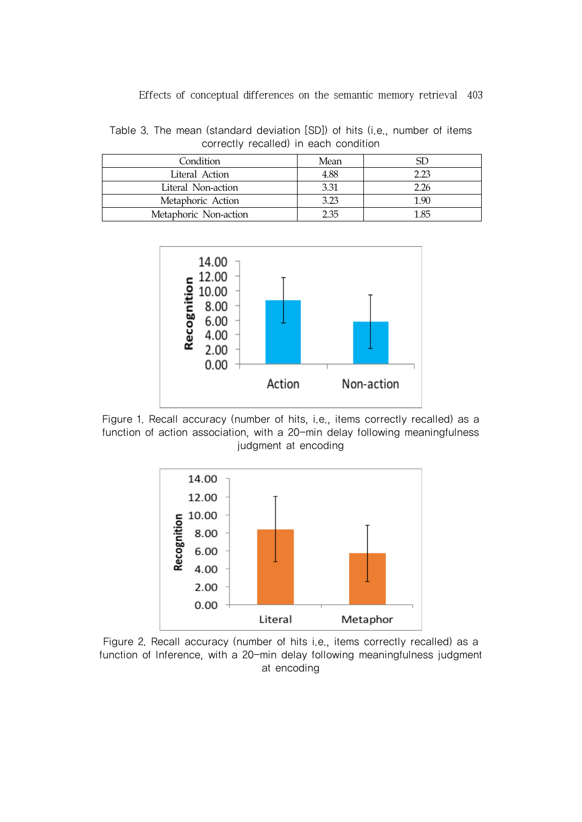Table 3. The mean (standard deviation [SD]) of hits (i.e., number of items correctly recalled) in each condition

| Condition             | Mean |      |
|-----------------------|------|------|
| Literal Action        | 4.88 | 2 23 |
| Literal Non-action    | 3.31 | 2.26 |
| Metaphoric Action     | 3.23 | 190  |
| Metaphoric Non-action | 2 35 | 1.85 |



Figure 1. Recall accuracy (number of hits, i.e., items correctly recalled) as a function of action association, with a 20-min delay following meaningfulness judgment at encoding



Figure 2. Recall accuracy (number of hits i.e., items correctly recalled) as a function of Inference, with a 20-min delay following meaningfulness judgment at encoding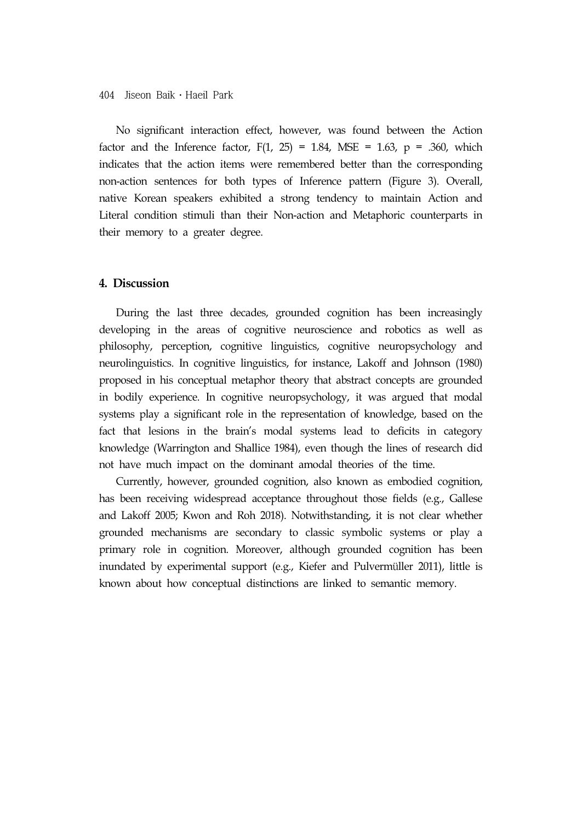No significant interaction effect, however, was found between the Action factor and the Inference factor,  $F(1, 25) = 1.84$ , MSE = 1.63, p = .360, which indicates that the action items were remembered better than the corresponding non-action sentences for both types of Inference pattern (Figure 3). Overall, native Korean speakers exhibited a strong tendency to maintain Action and Literal condition stimuli than their Non-action and Metaphoric counterparts in their memory to a greater degree.

## **4. Discussion**

During the last three decades, grounded cognition has been increasingly developing in the areas of cognitive neuroscience and robotics as well as philosophy, perception, cognitive linguistics, cognitive neuropsychology and neurolinguistics. In cognitive linguistics, for instance, Lakoff and Johnson (1980) proposed in his conceptual metaphor theory that abstract concepts are grounded in bodily experience. In cognitive neuropsychology, it was argued that modal systems play a significant role in the representation of knowledge, based on the fact that lesions in the brain's modal systems lead to deficits in category knowledge (Warrington and Shallice 1984), even though the lines of research did not have much impact on the dominant amodal theories of the time.

Currently, however, grounded cognition, also known as embodied cognition, has been receiving widespread acceptance throughout those fields (e.g., Gallese and Lakoff 2005; Kwon and Roh 2018). Notwithstanding, it is not clear whether grounded mechanisms are secondary to classic symbolic systems or play a primary role in cognition. Moreover, although grounded cognition has been inundated by experimental support (e.g., Kiefer and Pulvermüller 2011), little is known about how conceptual distinctions are linked to semantic memory.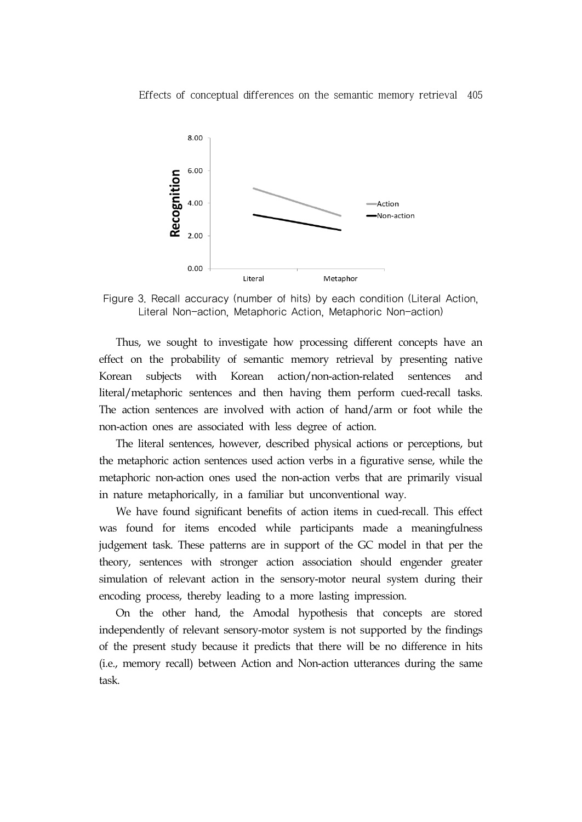

Figure 3. Recall accuracy (number of hits) by each condition (Literal Action, Literal Non-action, Metaphoric Action, Metaphoric Non-action)

Thus, we sought to investigate how processing different concepts have an effect on the probability of semantic memory retrieval by presenting native Korean subjects with Korean action/non-action-related sentences and literal/metaphoric sentences and then having them perform cued-recall tasks. The action sentences are involved with action of hand/arm or foot while the non-action ones are associated with less degree of action.

The literal sentences, however, described physical actions or perceptions, but the metaphoric action sentences used action verbs in a figurative sense, while the metaphoric non-action ones used the non-action verbs that are primarily visual in nature metaphorically, in a familiar but unconventional way.

We have found significant benefits of action items in cued-recall. This effect was found for items encoded while participants made a meaningfulness judgement task. These patterns are in support of the GC model in that per the theory, sentences with stronger action association should engender greater simulation of relevant action in the sensory-motor neural system during their encoding process, thereby leading to a more lasting impression.

On the other hand, the Amodal hypothesis that concepts are stored independently of relevant sensory-motor system is not supported by the findings of the present study because it predicts that there will be no difference in hits (i.e., memory recall) between Action and Non-action utterances during the same task.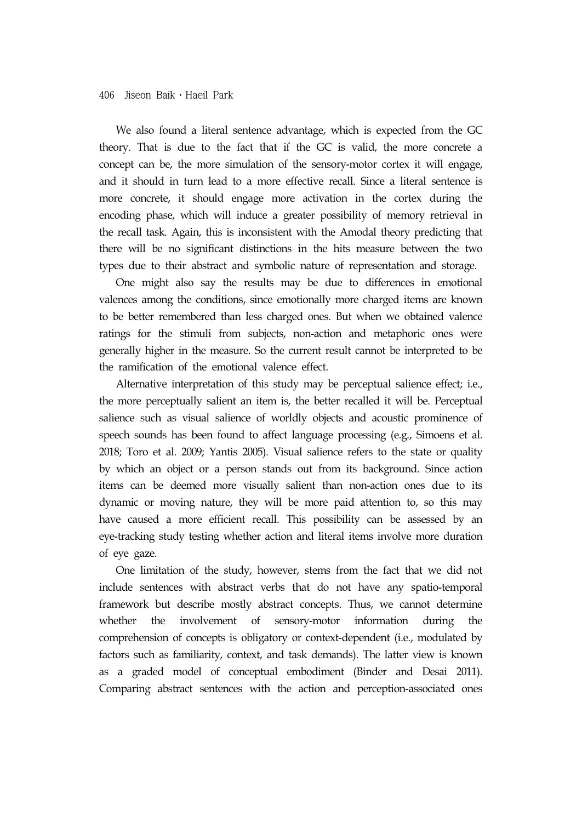We also found a literal sentence advantage, which is expected from the GC theory. That is due to the fact that if the GC is valid, the more concrete a concept can be, the more simulation of the sensory-motor cortex it will engage, and it should in turn lead to a more effective recall. Since a literal sentence is more concrete, it should engage more activation in the cortex during the encoding phase, which will induce a greater possibility of memory retrieval in the recall task. Again, this is inconsistent with the Amodal theory predicting that there will be no significant distinctions in the hits measure between the two types due to their abstract and symbolic nature of representation and storage.

One might also say the results may be due to differences in emotional valences among the conditions, since emotionally more charged items are known to be better remembered than less charged ones. But when we obtained valence ratings for the stimuli from subjects, non-action and metaphoric ones were generally higher in the measure. So the current result cannot be interpreted to be the ramification of the emotional valence effect.

Alternative interpretation of this study may be perceptual salience effect; i.e., the more perceptually salient an item is, the better recalled it will be. Perceptual salience such as visual salience of worldly objects and acoustic prominence of speech sounds has been found to affect language processing (e.g., Simoens et al. 2018; Toro et al. 2009; Yantis 2005). Visual salience refers to the state or quality by which an object or a person stands out from its background. Since action items can be deemed more visually salient than non-action ones due to its dynamic or moving nature, they will be more paid attention to, so this may have caused a more efficient recall. This possibility can be assessed by an eye-tracking study testing whether action and literal items involve more duration of eye gaze.

One limitation of the study, however, stems from the fact that we did not include sentences with abstract verbs that do not have any spatio-temporal framework but describe mostly abstract concepts. Thus, we cannot determine whether the involvement of sensory-motor information during comprehension of concepts is obligatory or context-dependent (i.e., modulated by factors such as familiarity, context, and task demands). The latter view is known as a graded model of conceptual embodiment (Binder and Desai 2011). Comparing abstract sentences with the action and perception-associated ones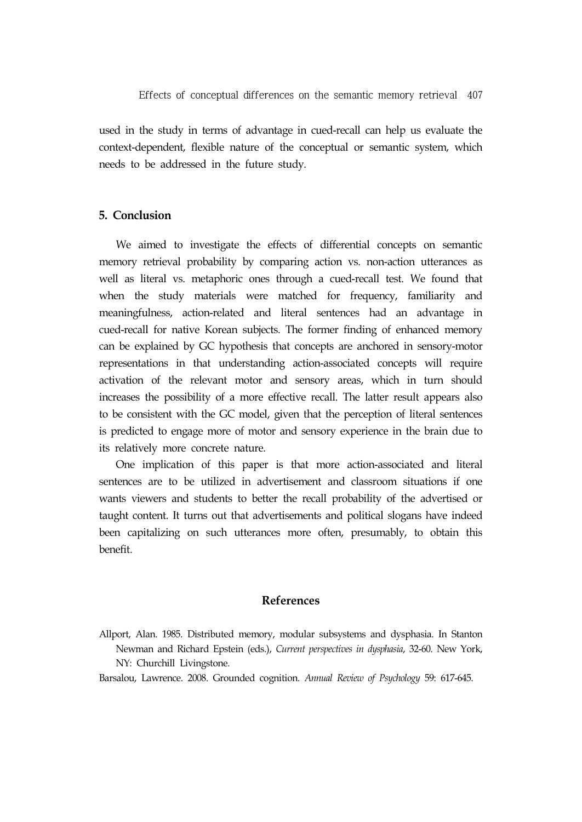used in the study in terms of advantage in cued-recall can help us evaluate the context-dependent, flexible nature of the conceptual or semantic system, which needs to be addressed in the future study.

## **5. Conclusion**

We aimed to investigate the effects of differential concepts on semantic memory retrieval probability by comparing action vs. non-action utterances as well as literal vs. metaphoric ones through a cued-recall test. We found that when the study materials were matched for frequency, familiarity and meaningfulness, action-related and literal sentences had an advantage in cued-recall for native Korean subjects. The former finding of enhanced memory can be explained by GC hypothesis that concepts are anchored in sensory-motor representations in that understanding action-associated concepts will require activation of the relevant motor and sensory areas, which in turn should increases the possibility of a more effective recall. The latter result appears also to be consistent with the GC model, given that the perception of literal sentences is predicted to engage more of motor and sensory experience in the brain due to its relatively more concrete nature.

One implication of this paper is that more action-associated and literal sentences are to be utilized in advertisement and classroom situations if one wants viewers and students to better the recall probability of the advertised or taught content. It turns out that advertisements and political slogans have indeed been capitalizing on such utterances more often, presumably, to obtain this benefit.

## **References**

Allport, Alan. 1985. Distributed memory, modular subsystems and dysphasia. In Stanton Newman and Richard Epstein (eds.), *Current perspectives in dysphasia*, 32-60. New York, NY: Churchill Livingstone.

Barsalou, Lawrence. 2008. Grounded cognition. *Annual Review of Psychology* 59: 617-645.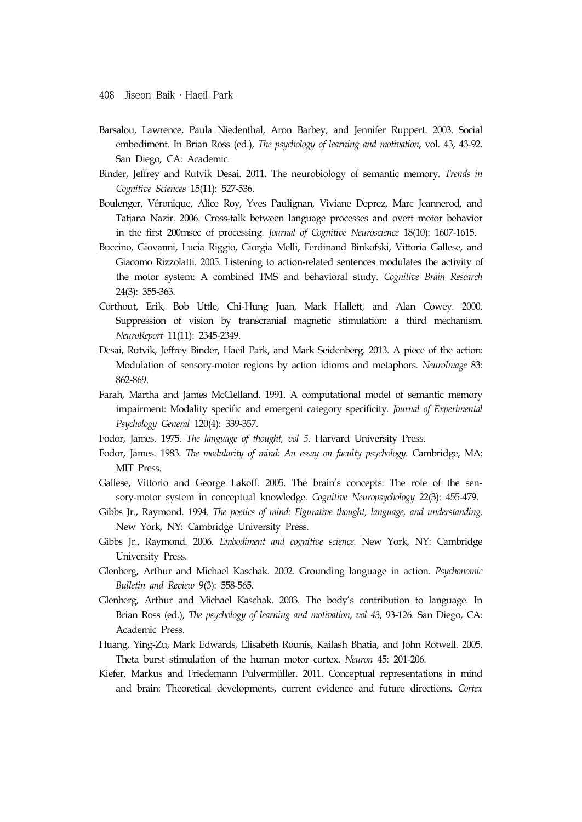- Barsalou, Lawrence, Paula Niedenthal, Aron Barbey, and Jennifer Ruppert. 2003. Social embodiment. In Brian Ross (ed.), *The psychology of learning and motivation*, vol. 43, 43-92. San Diego, CA: Academic.
- Binder, Jeffrey and Rutvik Desai. 2011. The neurobiology of semantic memory. *Trends in Cognitive Sciences* 15(11): 527-536.
- Boulenger, Véronique, Alice Roy, Yves Paulignan, Viviane Deprez, Marc Jeannerod, and Tatjana Nazir. 2006. Cross-talk between language processes and overt motor behavior in the first 200msec of processing. *Journal of Cognitive Neuroscience* 18(10): 1607-1615.
- Buccino, Giovanni, Lucia Riggio, Giorgia Melli, Ferdinand Binkofski, Vittoria Gallese, and Giacomo Rizzolatti. 2005. Listening to action-related sentences modulates the activity of the motor system: A combined TMS and behavioral study. *Cognitive Brain Research* 24(3): 355-363.
- Corthout, Erik, Bob Uttle, Chi-Hung Juan, Mark Hallett, and Alan Cowey. 2000. Suppression of vision by transcranial magnetic stimulation: a third mechanism. *NeuroReport* 11(11): 2345-2349.
- Desai, Rutvik, Jeffrey Binder, Haeil Park, and Mark Seidenberg. 2013. A piece of the action: Modulation of sensory-motor regions by action idioms and metaphors. *NeuroImage* 83: 862-869.
- Farah, Martha and James McClelland. 1991. A computational model of semantic memory impairment: Modality specific and emergent category specificity. *Journal of Experimental Psychology General* 120(4): 339-357.
- Fodor, James. 1975. *The language of thought, vol 5*. Harvard University Press.
- Fodor, James. 1983. *The modularity of mind: An essay on faculty psychology*. Cambridge, MA: MIT Press.
- Gallese, Vittorio and George Lakoff. 2005. The brain's concepts: The role of the sensory-motor system in conceptual knowledge. *Cognitive Neuropsychology* 22(3): 455-479.
- Gibbs Jr., Raymond. 1994. *The poetics of mind: Figurative thought, language, and understanding*. New York, NY: Cambridge University Press.
- Gibbs Jr., Raymond. 2006. *Embodiment and cognitive science*. New York, NY: Cambridge University Press.
- Glenberg, Arthur and Michael Kaschak. 2002. Grounding language in action. *Psychonomic Bulletin and Review* 9(3): 558-565.
- Glenberg, Arthur and Michael Kaschak. 2003. The body's contribution to language. In Brian Ross (ed.), *The psychology of learning and motivation*, *vol 43*, 93-126. San Diego, CA: Academic Press.
- Huang, Ying-Zu, Mark Edwards, Elisabeth Rounis, Kailash Bhatia, and John Rotwell. 2005. Theta burst stimulation of the human motor cortex. *Neuron* 45: 201-206.
- Kiefer, Markus and Friedemann Pulvermüller. 2011. Conceptual representations in mind and brain: Theoretical developments, current evidence and future directions. *Cortex*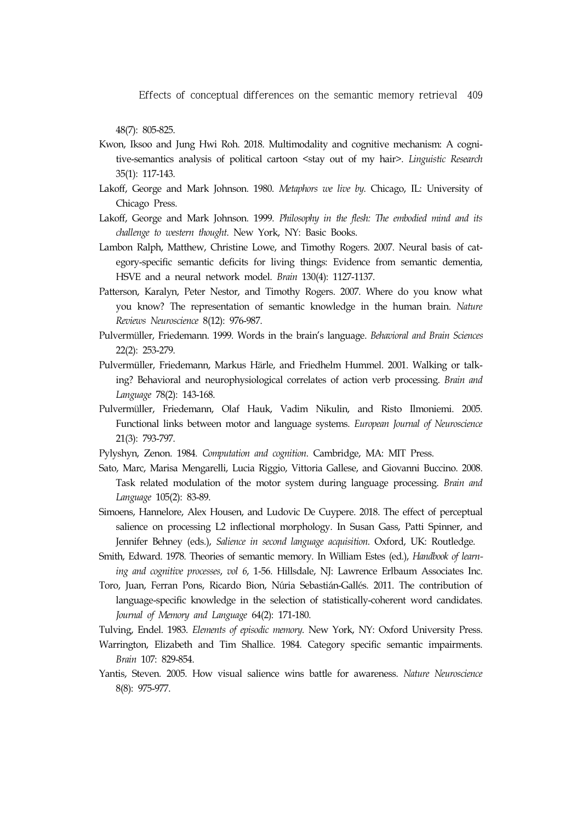48(7): 805-825.

- Kwon, Iksoo and Jung Hwi Roh. 2018. Multimodality and cognitive mechanism: A cognitive-semantics analysis of political cartoon <stay out of my hair>. *Linguistic Research* 35(1): 117-143.
- Lakoff, George and Mark Johnson. 1980. *Metaphors we live by*. Chicago, IL: University of Chicago Press.
- Lakoff, George and Mark Johnson. 1999. *Philosophy in the flesh: The embodied mind and its challenge to western thought*. New York, NY: Basic Books.
- Lambon Ralph, Matthew, Christine Lowe, and Timothy Rogers. 2007. Neural basis of category-specific semantic deficits for living things: Evidence from semantic dementia, HSVE and a neural network model. *Brain* 130(4): 1127-1137.
- Patterson, Karalyn, Peter Nestor, and Timothy Rogers. 2007. Where do you know what you know? The representation of semantic knowledge in the human brain. *Nature Reviews Neuroscience* 8(12): 976-987.
- Pulvermüller, Friedemann. 1999. Words in the brain's language. *Behavioral and Brain Sciences* 22(2): 253-279.
- Pulvermüller, Friedemann, Markus Härle, and Friedhelm Hummel. 2001. Walking or talking? Behavioral and neurophysiological correlates of action verb processing. *Brain and Language* 78(2): 143-168.
- Pulvermüller, Friedemann, Olaf Hauk, Vadim Nikulin, and Risto Ilmoniemi. 2005. Functional links between motor and language systems. *European Journal of Neuroscience* 21(3): 793-797.
- Pylyshyn, Zenon. 1984. *Computation and cognition*. Cambridge, MA: MIT Press.
- Sato, Marc, Marisa Mengarelli, Lucia Riggio, Vittoria Gallese, and Giovanni Buccino. 2008. Task related modulation of the motor system during language processing. *Brain and Language* 105(2): 83-89.
- Simoens, Hannelore, Alex Housen, and Ludovic De Cuypere. 2018. The effect of perceptual salience on processing L2 inflectional morphology. In Susan Gass, Patti Spinner, and Jennifer Behney (eds.), *Salience in second language acquisition*. Oxford, UK: Routledge.
- Smith, Edward. 1978. Theories of semantic memory. In William Estes (ed.), *Handbook of learning and cognitive processes*, *vol 6*, 1-56. Hillsdale, NJ: Lawrence Erlbaum Associates Inc.
- Toro, Juan, Ferran Pons, Ricardo Bion, Núria Sebastián-Gallés. 2011. The contribution of language-specific knowledge in the selection of statistically-coherent word candidates. *Journal of Memory and Language* 64(2): 171-180.
- Tulving, Endel. 1983. *Elements of episodic memory*. New York, NY: Oxford University Press.
- Warrington, Elizabeth and Tim Shallice. 1984. Category specific semantic impairments. *Brain* 107: 829-854.
- Yantis, Steven. 2005. How visual salience wins battle for awareness. *Nature Neuroscience* 8(8): 975-977.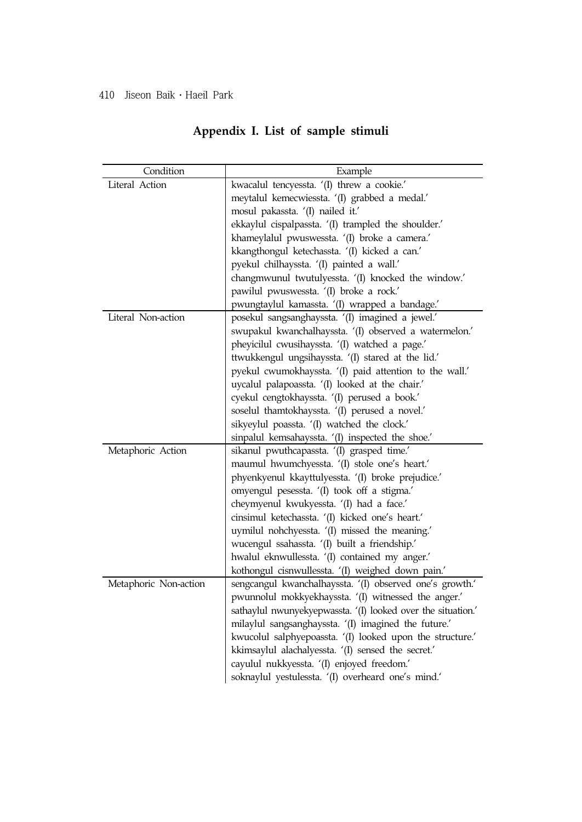| Condition             | Example                                                      |
|-----------------------|--------------------------------------------------------------|
| Literal Action        | kwacalul tencyessta. '(I) threw a cookie.'                   |
|                       | meytalul kemecwiessta. '(I) grabbed a medal.'                |
|                       | mosul pakassta. '(I) nailed it.'                             |
|                       | ekkaylul cispalpassta. '(I) trampled the shoulder.'          |
|                       | khameylalul pwuswessta. '(I) broke a camera.'                |
|                       | kkangthongul ketechassta. '(I) kicked a can.'                |
|                       | pyekul chilhayssta. '(I) painted a wall.'                    |
|                       | changmwunul twutulyessta. '(I) knocked the window.'          |
|                       | pawilul pwuswessta. '(I) broke a rock.'                      |
|                       | pwungtaylul kamassta. '(I) wrapped a bandage.'               |
| Literal Non-action    | posekul sangsanghayssta. '(I) imagined a jewel.'             |
|                       | swupakul kwanchalhayssta. '(I) observed a watermelon.'       |
|                       | pheyicilul cwusihayssta. '(I) watched a page.'               |
|                       | ttwukkengul ungsihayssta. '(I) stared at the lid.'           |
|                       | pyekul cwumokhayssta. '(I) paid attention to the wall.'      |
|                       | uycalul palapoassta. '(I) looked at the chair.'              |
|                       | cyekul cengtokhayssta. '(I) perused a book.'                 |
|                       | soselul thamtokhayssta. '(I) perused a novel.'               |
|                       | sikyeylul poassta. '(I) watched the clock.'                  |
|                       | sinpalul kemsahayssta. (I) inspected the shoe.'              |
| Metaphoric Action     | sikanul pwuthcapassta. '(I) grasped time.'                   |
|                       | maumul hwumchyessta. '(I) stole one's heart.'                |
|                       | phyenkyenul kkayttulyessta. '(I) broke prejudice.'           |
|                       | omyengul pesessta. '(I) took off a stigma.'                  |
|                       | cheymyenul kwukyessta. '(I) had a face.'                     |
|                       | cinsimul ketechassta. '(I) kicked one's heart.'              |
|                       | uymilul nohchyessta. '(I) missed the meaning.'               |
|                       | wucengul ssahassta. '(I) built a friendship.'                |
|                       | hwalul eknwullessta. '(I) contained my anger.'               |
|                       | kothongul cisnwullessta. '(I) weighed down pain.'            |
| Metaphoric Non-action | sengcangul kwanchalhayssta. '(I) observed one's growth.'     |
|                       | pwunnolul mokkyekhayssta. '(I) witnessed the anger.'         |
|                       | sathaylul nwunyekyepwassta. '(I) looked over the situation.' |
|                       | milaylul sangsanghayssta. '(I) imagined the future.'         |
|                       | kwucolul salphyepoassta. '(I) looked upon the structure.'    |
|                       | kkimsaylul alachalyessta. '(I) sensed the secret.'           |
|                       | cayulul nukkyessta. '(I) enjoyed freedom.'                   |
|                       | soknaylul yestulessta. '(I) overheard one's mind.'           |

# **Appendix I. List of sample stimuli**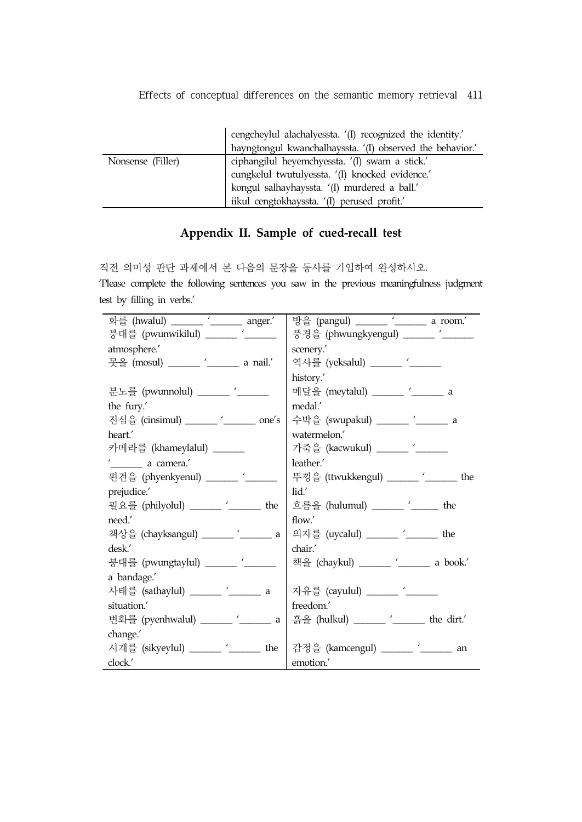|                   | cengcheylul alachalyessta. '(I) recognized the identity.' |
|-------------------|-----------------------------------------------------------|
|                   | hayngtongul kwanchalhayssta. '(I) observed the behavior.' |
| Nonsense (Filler) | ciphangilul heyemchyessta. '(I) swam a stick.'            |
|                   | cungkelul twutulyessta. '(I) knocked evidence.'           |
|                   | kongul salhayhayssta. '(I) murdered a ball.'              |
|                   | iikul cengtokhayssta. '(I) perused profit.'               |

## **Appendix II. Sample of cued-recall test**

직전 의미성 판단 과제에서 본 다음의 문장을 동사를 기입하여 완성하시오. 'Please complete the following sentences you saw in the previous meaningfulness judgment test by filling in verbs.'

| 화를 (hwalul) ______ '_______ anger.'                                   | 방을 (pangul) ______ '_______ a room.'                                  |
|-----------------------------------------------------------------------|-----------------------------------------------------------------------|
| 붕대를 (pwunwikilul) ______ '_____                                       | 풍경을 (phwungkyengul) _____ '___                                        |
| atmosphere.'                                                          | scenery.'                                                             |
| 못을 (mosul) ______ '______ a nail.'                                    | 역사를 (yeksalul) ______ '_____                                          |
|                                                                       | history.'                                                             |
| 분노를 (pwunnolul) _____ '____                                           | 메달을 (meytalul) ______ '_______ a                                      |
| the fury.'                                                            | medal.'                                                               |
| 진심을 (cinsimul) ______ '______ one's                                   | 수박을 (swupakul) ______ '_______ a                                      |
| heart.                                                                | watermelon.'                                                          |
| 카메라를 (khameylalul) ______                                             | 가죽을 (kacwukul) ______ '_____                                          |
| ' <u> </u> a camera.'                                                 | leather.                                                              |
| 편견을 (phyenkyenul) ______ '_____                                       | 뚜껑을 (ttwukkengul) _____ '_____ the                                    |
| prejudice.'                                                           | lid.'                                                                 |
| 필요를 (philyolul) ______ '_______ the   흐름을 (hulumul) ______ '_____ the |                                                                       |
| need.'                                                                | flow.'                                                                |
| 책상을 (chayksangul) ______ '______ a   의자를 (uycalul) ______ '______ the |                                                                       |
| desk.'                                                                | chair.'                                                               |
| 붕대를 (pwungtaylul) ______ '_____                                       | 책을 (chaykul) ______ '_______ a book.'                                 |
| a bandage.'                                                           |                                                                       |
| 사태를 (sathaylul) ______ '_______ a                                     | 자유를 (cayulul) ______ '_____                                           |
| situation.'                                                           | freedom.'                                                             |
|                                                                       | 변화를 (pyenhwalul) _____ '_____ a   흙을 (hulkul) _____ '_____ the dirt.' |
| change.'                                                              |                                                                       |
| 시계를 (sikyeylul) ______ '______ the                                    | 감정을 (kamcengul) ______ '_______ an                                    |
| clock.'                                                               | emotion.'                                                             |